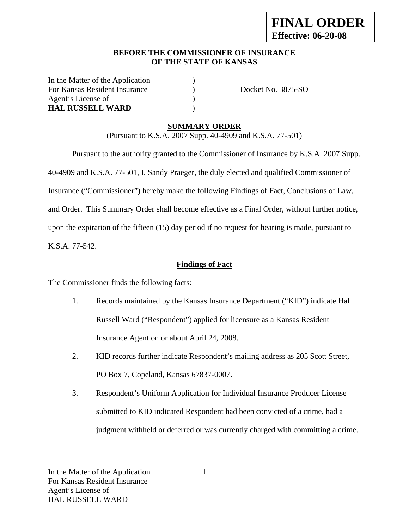## **BEFORE THE COMMISSIONER OF INSURANCE OF THE STATE OF KANSAS**

In the Matter of the Application ) For Kansas Resident Insurance (a) Docket No. 3875-SO Agent's License of  $\qquad \qquad$  ) **HAL RUSSELL WARD** )

# **SUMMARY ORDER**

(Pursuant to K.S.A. 2007 Supp. 40-4909 and K.S.A. 77-501)

 Pursuant to the authority granted to the Commissioner of Insurance by K.S.A. 2007 Supp. 40-4909 and K.S.A. 77-501, I, Sandy Praeger, the duly elected and qualified Commissioner of Insurance ("Commissioner") hereby make the following Findings of Fact, Conclusions of Law, and Order. This Summary Order shall become effective as a Final Order, without further notice, upon the expiration of the fifteen (15) day period if no request for hearing is made, pursuant to K.S.A. 77-542.

## **Findings of Fact**

The Commissioner finds the following facts:

- 1. Records maintained by the Kansas Insurance Department ("KID") indicate Hal Russell Ward ("Respondent") applied for licensure as a Kansas Resident Insurance Agent on or about April 24, 2008.
- 2. KID records further indicate Respondent's mailing address as 205 Scott Street, PO Box 7, Copeland, Kansas 67837-0007.
- 3. Respondent's Uniform Application for Individual Insurance Producer License submitted to KID indicated Respondent had been convicted of a crime, had a judgment withheld or deferred or was currently charged with committing a crime.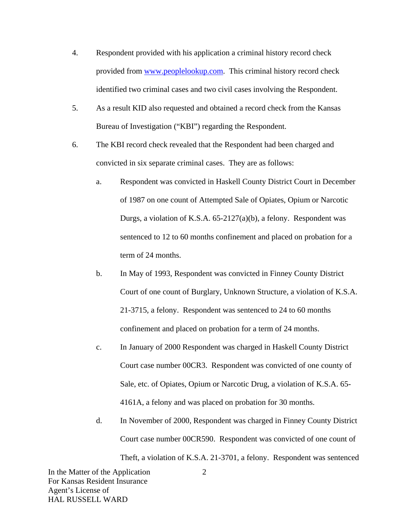- 4. Respondent provided with his application a criminal history record check provided from www.peoplelookup.com. This criminal history record check identified two criminal cases and two civil cases involving the Respondent.
- 5. As a result KID also requested and obtained a record check from the Kansas Bureau of Investigation ("KBI") regarding the Respondent.
- 6. The KBI record check revealed that the Respondent had been charged and convicted in six separate criminal cases. They are as follows:
	- a. Respondent was convicted in Haskell County District Court in December of 1987 on one count of Attempted Sale of Opiates, Opium or Narcotic Durgs, a violation of K.S.A. 65-2127(a)(b), a felony. Respondent was sentenced to 12 to 60 months confinement and placed on probation for a term of 24 months.
	- b. In May of 1993, Respondent was convicted in Finney County District Court of one count of Burglary, Unknown Structure, a violation of K.S.A. 21-3715, a felony. Respondent was sentenced to 24 to 60 months confinement and placed on probation for a term of 24 months.
	- c. In January of 2000 Respondent was charged in Haskell County District Court case number 00CR3. Respondent was convicted of one county of Sale, etc. of Opiates, Opium or Narcotic Drug, a violation of K.S.A. 65- 4161A, a felony and was placed on probation for 30 months.
	- d. In November of 2000, Respondent was charged in Finney County District Court case number 00CR590. Respondent was convicted of one count of Theft, a violation of K.S.A. 21-3701, a felony. Respondent was sentenced

In the Matter of the Application For Kansas Resident Insurance Agent's License of HAL RUSSELL WARD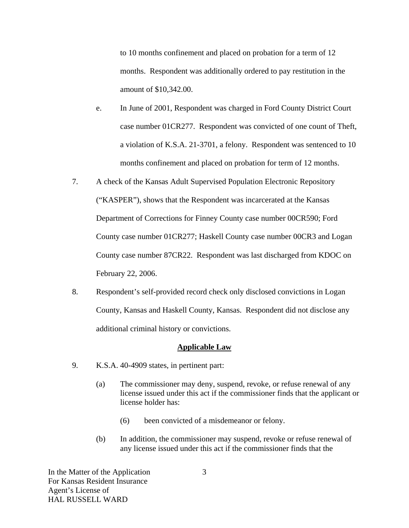to 10 months confinement and placed on probation for a term of 12 months. Respondent was additionally ordered to pay restitution in the amount of \$10,342.00.

- e. In June of 2001, Respondent was charged in Ford County District Court case number 01CR277. Respondent was convicted of one count of Theft, a violation of K.S.A. 21-3701, a felony. Respondent was sentenced to 10 months confinement and placed on probation for term of 12 months.
- 7. A check of the Kansas Adult Supervised Population Electronic Repository ("KASPER"), shows that the Respondent was incarcerated at the Kansas Department of Corrections for Finney County case number 00CR590; Ford County case number 01CR277; Haskell County case number 00CR3 and Logan County case number 87CR22. Respondent was last discharged from KDOC on February 22, 2006.
- 8. Respondent's self-provided record check only disclosed convictions in Logan County, Kansas and Haskell County, Kansas. Respondent did not disclose any additional criminal history or convictions.

#### **Applicable Law**

- 9. K.S.A. 40-4909 states, in pertinent part:
	- (a) The commissioner may deny, suspend, revoke, or refuse renewal of any license issued under this act if the commissioner finds that the applicant or license holder has:
		- (6) been convicted of a misdemeanor or felony.
	- (b) In addition, the commissioner may suspend, revoke or refuse renewal of any license issued under this act if the commissioner finds that the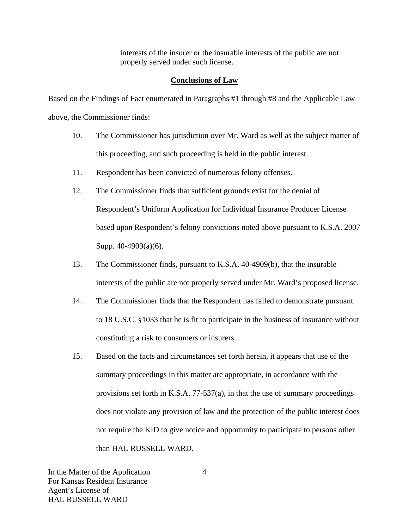interests of the insurer or the insurable interests of the public are not properly served under such license.

### **Conclusions of Law**

Based on the Findings of Fact enumerated in Paragraphs #1 through #8 and the Applicable Law above, the Commissioner finds:

- 10. The Commissioner has jurisdiction over Mr. Ward as well as the subject matter of this proceeding, and such proceeding is held in the public interest.
- 11. Respondent has been convicted of numerous felony offenses.
- 12. The Commissioner finds that sufficient grounds exist for the denial of Respondent's Uniform Application for Individual Insurance Producer License based upon Respondent's felony convictions noted above pursuant to K.S.A. 2007 Supp. 40-4909(a)(6).
- 13. The Commissioner finds, pursuant to K.S.A. 40-4909(b), that the insurable interests of the public are not properly served under Mr. Ward's proposed license.
- 14. The Commissioner finds that the Respondent has failed to demonstrate pursuant to 18 U.S.C. §1033 that he is fit to participate in the business of insurance without constituting a risk to consumers or insurers.
- 15. Based on the facts and circumstances set forth herein, it appears that use of the summary proceedings in this matter are appropriate, in accordance with the provisions set forth in K.S.A. 77-537(a), in that the use of summary proceedings does not violate any provision of law and the protection of the public interest does not require the KID to give notice and opportunity to participate to persons other than HAL RUSSELL WARD.

In the Matter of the Application For Kansas Resident Insurance Agent's License of HAL RUSSELL WARD

4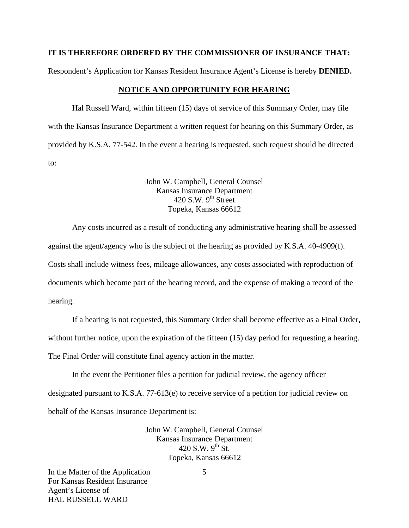### **IT IS THEREFORE ORDERED BY THE COMMISSIONER OF INSURANCE THAT:**

Respondent's Application for Kansas Resident Insurance Agent's License is hereby **DENIED.** 

#### **NOTICE AND OPPORTUNITY FOR HEARING**

Hal Russell Ward, within fifteen (15) days of service of this Summary Order, may file with the Kansas Insurance Department a written request for hearing on this Summary Order, as provided by K.S.A. 77-542. In the event a hearing is requested, such request should be directed to:

> John W. Campbell, General Counsel Kansas Insurance Department  $420$  S.W. 9<sup>th</sup> Street Topeka, Kansas 66612

Any costs incurred as a result of conducting any administrative hearing shall be assessed against the agent/agency who is the subject of the hearing as provided by K.S.A. 40-4909(f). Costs shall include witness fees, mileage allowances, any costs associated with reproduction of documents which become part of the hearing record, and the expense of making a record of the hearing.

If a hearing is not requested, this Summary Order shall become effective as a Final Order,

without further notice, upon the expiration of the fifteen (15) day period for requesting a hearing.

The Final Order will constitute final agency action in the matter.

In the event the Petitioner files a petition for judicial review, the agency officer designated pursuant to K.S.A. 77-613(e) to receive service of a petition for judicial review on behalf of the Kansas Insurance Department is:

> John W. Campbell, General Counsel Kansas Insurance Department 420 S.W.  $9^{th}$  St. Topeka, Kansas 66612

In the Matter of the Application For Kansas Resident Insurance Agent's License of HAL RUSSELL WARD